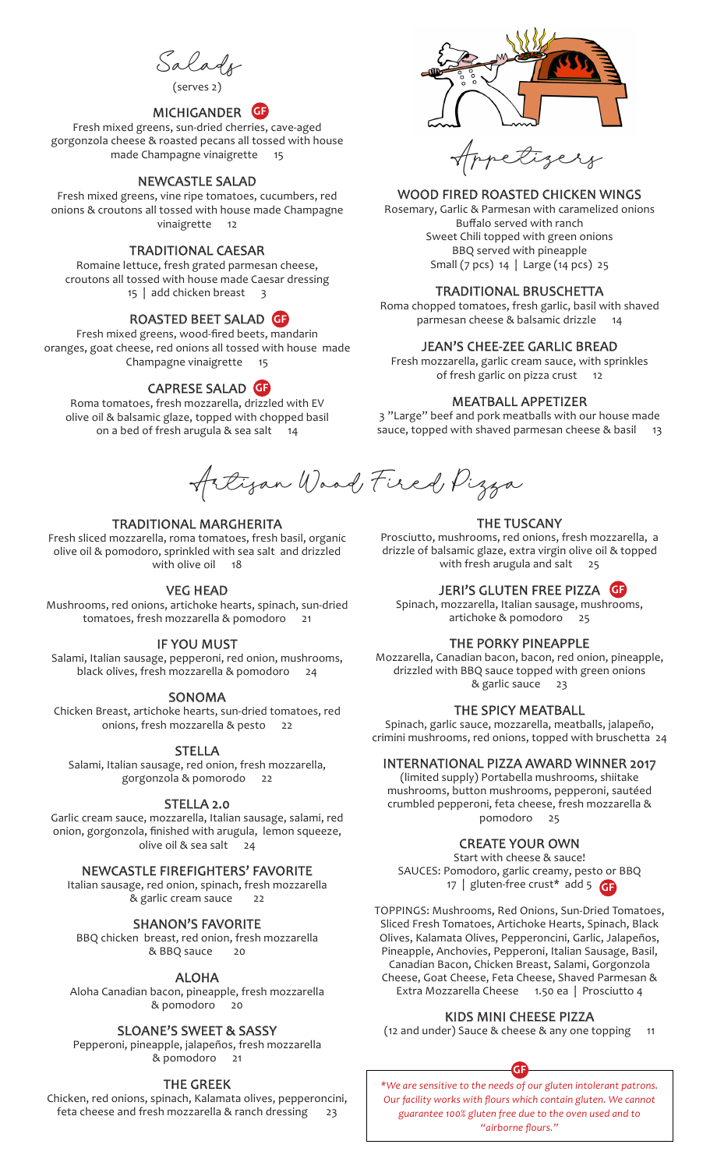Salads

(serves 2)

# MICHIGANDER **GF**

Fresh mixed greens, sun-dried cherries, cave-aged gorgonzola cheese & roasted pecans all tossed with house made Champagne vinaigrette 15

## NEWCASTLE SALAD

Fresh mixed greens, vine ripe tomatoes, cucumbers, red onions & croutons all tossed with house made Champagne vinaigrette 12

## TRADITIONAL CAESAR

Romaine lettuce, fresh grated parmesan cheese, croutons all tossed with house made Caesar dressing 15 | add chicken breast 3

# ROASTED BEET SALAD **GF**

Fresh mixed greens, wood-fired beets, mandarin oranges, goat cheese, red onions all tossed with house made Champagne vinaigrette 15

# CAPRESE SALAD **GF**

Roma tomatoes, fresh mozzarella, drizzled with EV olive oil & balsamic glaze, topped with chopped basil on a bed of fresh arugula & sea salt 14



### WOOD FIRED ROASTED CHICKEN WINGS

Rosemary, Garlic & Parmesan with caramelized onions Buffalo served with ranch Sweet Chili topped with green onions BBQ served with pineapple Small (7 pcs) 14 | Large (14 pcs) 25

#### TRADITIONAL BRUSCHETTA

Roma chopped tomatoes, fresh garlic, basil with shaved parmesan cheese & balsamic drizzle 14

#### JEAN'S CHEE-ZEE GARLIC BREAD

Fresh mozzarella, garlic cream sauce, with sprinkles of fresh garlic on pizza crust 12

#### MEATBALL APPETIZER

3 "Large" beef and pork meatballs with our house made sauce, topped with shaved parmesan cheese & basil 13

Artizan Wood, Fired Pizza

#### TRADITIONAL MARGHERITA

Fresh sliced mozzarella, roma tomatoes, fresh basil, organic olive oil & pomodoro, sprinkled with sea salt and drizzled with olive oil 18

#### VEG HEAD

Mushrooms, red onions, artichoke hearts, spinach, sun-dried tomatoes, fresh mozzarella & pomodoro 21

#### IF YOU MUST

Salami, Italian sausage, pepperoni, red onion, mushrooms, black olives, fresh mozzarella & pomodoro 24

#### SONOMA

Chicken Breast, artichoke hearts, sun-dried tomatoes, red onions, fresh mozzarella & pesto 22

#### STELLA

Salami, Italian sausage, red onion, fresh mozzarella, gorgonzola & pomorodo 22

#### STELLA 2.0

Garlic cream sauce, mozzarella, Italian sausage, salami, red onion, gorgonzola, finished with arugula, lemon squeeze, olive oil & sea salt 24

# NEWCASTLE FIREFIGHTERS' FAVORITE

Italian sausage, red onion, spinach, fresh mozzarella & garlic cream sauce 22

SHANON'S FAVORITE

BBQ chicken breast, red onion, fresh mozzarella & BBQ sauce

#### ALOHA

Aloha Canadian bacon, pineapple, fresh mozzarella & pomodoro 20

### SLOANE'S SWEET & SASSY

Pepperoni, pineapple, jalapeños, fresh mozzarella & pomodoro 21

#### THE GREEK

Chicken, red onions, spinach, Kalamata olives, pepperoncini, feta cheese and fresh mozzarella & ranch dressing 23

#### THE TUSCANY

Prosciutto, mushrooms, red onions, fresh mozzarella, a drizzle of balsamic glaze, extra virgin olive oil & topped with fresh arugula and salt 25

### JERI'S GLUTEN FREE PIZZA **GF**

Spinach, mozzarella, Italian sausage, mushrooms, artichoke & pomodoro<sup>2</sup>25

## THE PORKY PINEAPPLE

Mozzarella, Canadian bacon, bacon, red onion, pineapple, drizzled with BBQ sauce topped with green onions & garlic sauce

## THE SPICY MEATBALL

Spinach, garlic sauce, mozzarella, meatballs, jalapeño, crimini mushrooms, red onions, topped with bruschetta 24

#### INTERNATIONAL PIZZA AWARD WINNER 2017

(limited supply) Portabella mushrooms, shiitake mushrooms, button mushrooms, pepperoni, sautéed crumbled pepperoni, feta cheese, fresh mozzarella & pomodoro 25

## CREATE YOUR OWN

Start with cheese & sauce! SAUCES: Pomodoro, garlic creamy, pesto or BBQ 17 | gluten-free crust\* add 5 **GF**

TOPPINGS: Mushrooms, Red Onions, Sun-Dried Tomatoes, Sliced Fresh Tomatoes, Artichoke Hearts, Spinach, Black Olives, Kalamata Olives, Pepperoncini, Garlic, Jalapeños, Pineapple, Anchovies, Pepperoni, Italian Sausage, Basil, Canadian Bacon, Chicken Breast, Salami, Gorgonzola Cheese, Goat Cheese, Feta Cheese, Shaved Parmesan & Extra Mozzarella Cheese 1.50 ea | Prosciutto 4

## KIDS MINI CHEESE PIZZA

(12 and under) Sauce & cheese & any one topping 11



*\*We are sensitive to the needs of our gluten intolerant patrons. Our facility works with flours which contain gluten. We cannot guarantee 100% gluten free due to the oven used and to "airborne flours."*